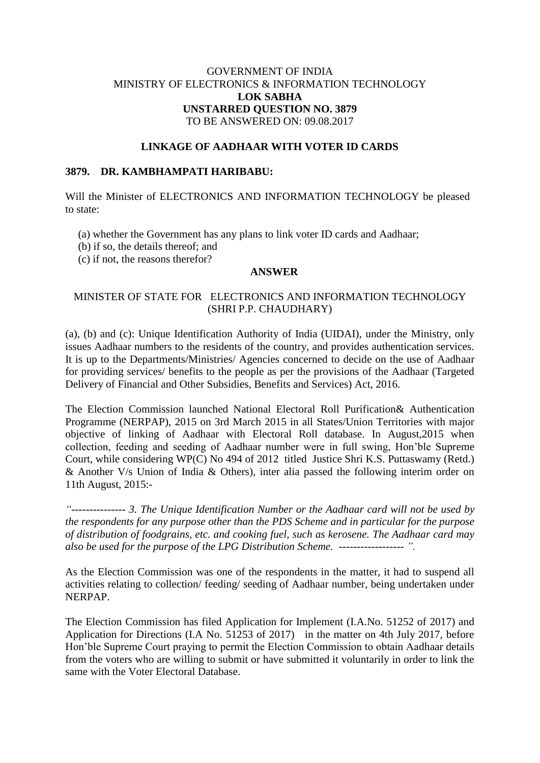# GOVERNMENT OF INDIA MINISTRY OF ELECTRONICS & INFORMATION TECHNOLOGY **LOK SABHA UNSTARRED QUESTION NO. 3879** TO BE ANSWERED ON: 09.08.2017

### **LINKAGE OF AADHAAR WITH VOTER ID CARDS**

#### **3879. DR. KAMBHAMPATI HARIBABU:**

Will the Minister of ELECTRONICS AND INFORMATION TECHNOLOGY be pleased to state:

- (a) whether the Government has any plans to link voter ID cards and Aadhaar;
- (b) if so, the details thereof; and
- (c) if not, the reasons therefor?

#### **ANSWER**

# MINISTER OF STATE FOR ELECTRONICS AND INFORMATION TECHNOLOGY (SHRI P.P. CHAUDHARY)

(a), (b) and (c): Unique Identification Authority of India (UIDAI), under the Ministry, only issues Aadhaar numbers to the residents of the country, and provides authentication services. It is up to the Departments/Ministries/ Agencies concerned to decide on the use of Aadhaar for providing services/ benefits to the people as per the provisions of the Aadhaar (Targeted Delivery of Financial and Other Subsidies, Benefits and Services) Act, 2016.

The Election Commission launched National Electoral Roll Purification& Authentication Programme (NERPAP), 2015 on 3rd March 2015 in all States/Union Territories with major objective of linking of Aadhaar with Electoral Roll database. In August,2015 when collection, feeding and seeding of Aadhaar number were in full swing, Hon'ble Supreme Court, while considering WP(C) No 494 of 2012 titled Justice Shri K.S. Puttaswamy (Retd.) & Another V/s Union of India & Others), inter alia passed the following interim order on 11th August, 2015:-

*"--------------- 3. The Unique Identification Number or the Aadhaar card will not be used by the respondents for any purpose other than the PDS Scheme and in particular for the purpose of distribution of foodgrains, etc. and cooking fuel, such as kerosene. The Aadhaar card may also be used for the purpose of the LPG Distribution Scheme. ------------------ ".* 

As the Election Commission was one of the respondents in the matter, it had to suspend all activities relating to collection/ feeding/ seeding of Aadhaar number, being undertaken under NERPAP.

The Election Commission has filed Application for Implement (I.A.No. 51252 of 2017) and Application for Directions (I.A No. 51253 of 2017) in the matter on 4th July 2017, before Hon'ble Supreme Court praying to permit the Election Commission to obtain Aadhaar details from the voters who are willing to submit or have submitted it voluntarily in order to link the same with the Voter Electoral Database.